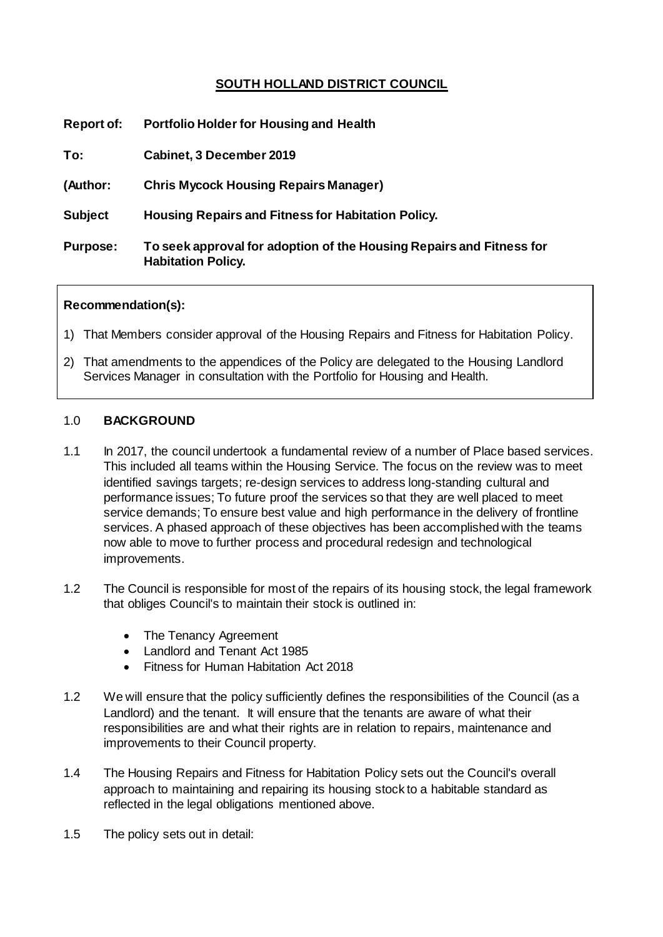# **SOUTH HOLLAND DISTRICT COUNCIL**

| <b>Report of:</b> | <b>Portfolio Holder for Housing and Health</b>                                                    |
|-------------------|---------------------------------------------------------------------------------------------------|
| To:               | Cabinet, 3 December 2019                                                                          |
| (Author:          | <b>Chris Mycock Housing Repairs Manager)</b>                                                      |
| <b>Subject</b>    | <b>Housing Repairs and Fitness for Habitation Policy.</b>                                         |
| <b>Purpose:</b>   | To seek approval for adoption of the Housing Repairs and Fitness for<br><b>Habitation Policy.</b> |

## **Recommendation(s):**

- 1) That Members consider approval of the Housing Repairs and Fitness for Habitation Policy.
- 2) That amendments to the appendices of the Policy are delegated to the Housing Landlord Services Manager in consultation with the Portfolio for Housing and Health.

## 1.0 **BACKGROUND**

- 1.1 In 2017, the council undertook a fundamental review of a number of Place based services. This included all teams within the Housing Service. The focus on the review was to meet identified savings targets; re-design services to address long-standing cultural and performance issues; To future proof the services so that they are well placed to meet service demands; To ensure best value and high performance in the delivery of frontline services. A phased approach of these objectives has been accomplished with the teams now able to move to further process and procedural redesign and technological improvements.
- 1.2 The Council is responsible for most of the repairs of its housing stock, the legal framework that obliges Council's to maintain their stock is outlined in:
	- The Tenancy Agreement
	- Landlord and Tenant Act 1985
	- Fitness for Human Habitation Act 2018
- 1.2 We will ensure that the policy sufficiently defines the responsibilities of the Council (as a Landlord) and the tenant. It will ensure that the tenants are aware of what their responsibilities are and what their rights are in relation to repairs, maintenance and improvements to their Council property.
- 1.4 The Housing Repairs and Fitness for Habitation Policy sets out the Council's overall approach to maintaining and repairing its housing stock to a habitable standard as reflected in the legal obligations mentioned above.
- 1.5 The policy sets out in detail: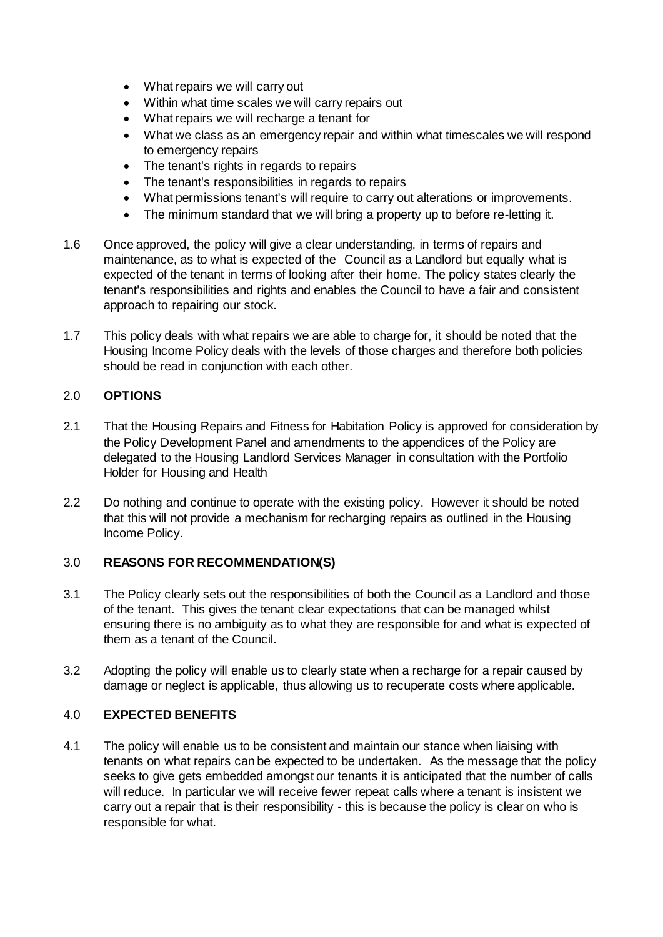- What repairs we will carry out
- Within what time scales we will carry repairs out
- What repairs we will recharge a tenant for
- What we class as an emergency repair and within what timescales we will respond to emergency repairs
- The tenant's rights in regards to repairs
- The tenant's responsibilities in regards to repairs
- What permissions tenant's will require to carry out alterations or improvements.
- The minimum standard that we will bring a property up to before re-letting it.
- 1.6 Once approved, the policy will give a clear understanding, in terms of repairs and maintenance, as to what is expected of the Council as a Landlord but equally what is expected of the tenant in terms of looking after their home. The policy states clearly the tenant's responsibilities and rights and enables the Council to have a fair and consistent approach to repairing our stock.
- 1.7 This policy deals with what repairs we are able to charge for, it should be noted that the Housing Income Policy deals with the levels of those charges and therefore both policies should be read in conjunction with each other.

### 2.0 **OPTIONS**

- 2.1 That the Housing Repairs and Fitness for Habitation Policy is approved for consideration by the Policy Development Panel and amendments to the appendices of the Policy are delegated to the Housing Landlord Services Manager in consultation with the Portfolio Holder for Housing and Health
- 2.2 Do nothing and continue to operate with the existing policy. However it should be noted that this will not provide a mechanism for recharging repairs as outlined in the Housing Income Policy.

### 3.0 **REASONS FOR RECOMMENDATION(S)**

- 3.1 The Policy clearly sets out the responsibilities of both the Council as a Landlord and those of the tenant. This gives the tenant clear expectations that can be managed whilst ensuring there is no ambiguity as to what they are responsible for and what is expected of them as a tenant of the Council.
- 3.2 Adopting the policy will enable us to clearly state when a recharge for a repair caused by damage or neglect is applicable, thus allowing us to recuperate costs where applicable.

### 4.0 **EXPECTED BENEFITS**

4.1 The policy will enable us to be consistent and maintain our stance when liaising with tenants on what repairs can be expected to be undertaken. As the message that the policy seeks to give gets embedded amongst our tenants it is anticipated that the number of calls will reduce. In particular we will receive fewer repeat calls where a tenant is insistent we carry out a repair that is their responsibility - this is because the policy is clear on who is responsible for what.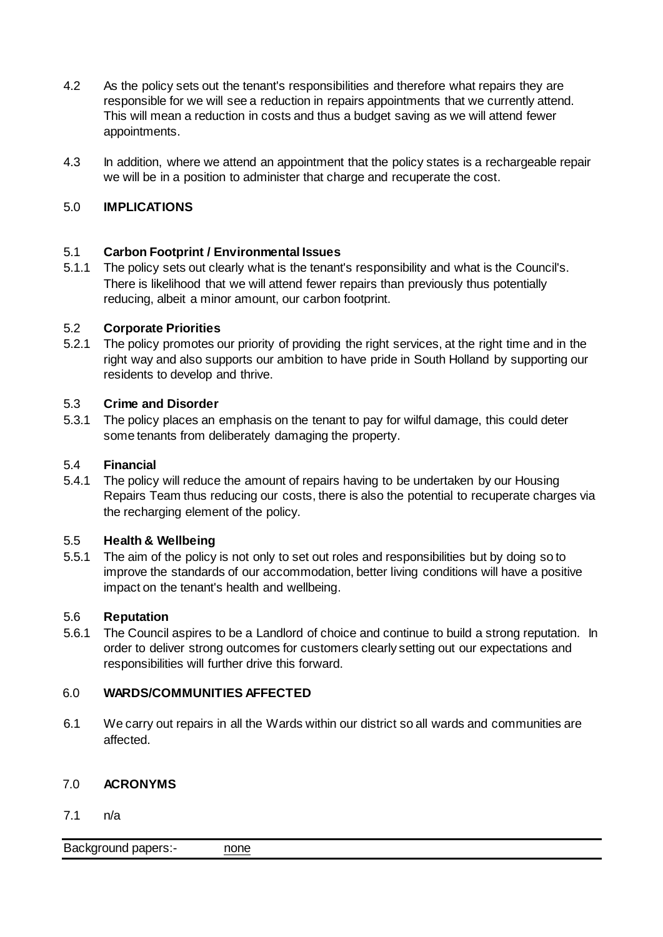- 4.2 As the policy sets out the tenant's responsibilities and therefore what repairs they are responsible for we will see a reduction in repairs appointments that we currently attend. This will mean a reduction in costs and thus a budget saving as we will attend fewer appointments.
- 4.3 In addition, where we attend an appointment that the policy states is a rechargeable repair we will be in a position to administer that charge and recuperate the cost.

# 5.0 **IMPLICATIONS**

## 5.1 **Carbon Footprint / Environmental Issues**

5.1.1 The policy sets out clearly what is the tenant's responsibility and what is the Council's. There is likelihood that we will attend fewer repairs than previously thus potentially reducing, albeit a minor amount, our carbon footprint.

## 5.2 **Corporate Priorities**

5.2.1 The policy promotes our priority of providing the right services, at the right time and in the right way and also supports our ambition to have pride in South Holland by supporting our residents to develop and thrive.

## 5.3 **Crime and Disorder**

5.3.1 The policy places an emphasis on the tenant to pay for wilful damage, this could deter some tenants from deliberately damaging the property.

## 5.4 **Financial**

5.4.1 The policy will reduce the amount of repairs having to be undertaken by our Housing Repairs Team thus reducing our costs, there is also the potential to recuperate charges via the recharging element of the policy.

### 5.5 **Health & Wellbeing**

5.5.1 The aim of the policy is not only to set out roles and responsibilities but by doing so to improve the standards of our accommodation, better living conditions will have a positive impact on the tenant's health and wellbeing.

### 5.6 **Reputation**

5.6.1 The Council aspires to be a Landlord of choice and continue to build a strong reputation. In order to deliver strong outcomes for customers clearly setting out our expectations and responsibilities will further drive this forward.

## 6.0 **WARDS/COMMUNITIES AFFECTED**

6.1 We carry out repairs in all the Wards within our district so all wards and communities are affected.

### 7.0 **ACRONYMS**

7.1 n/a

Background papers:- none